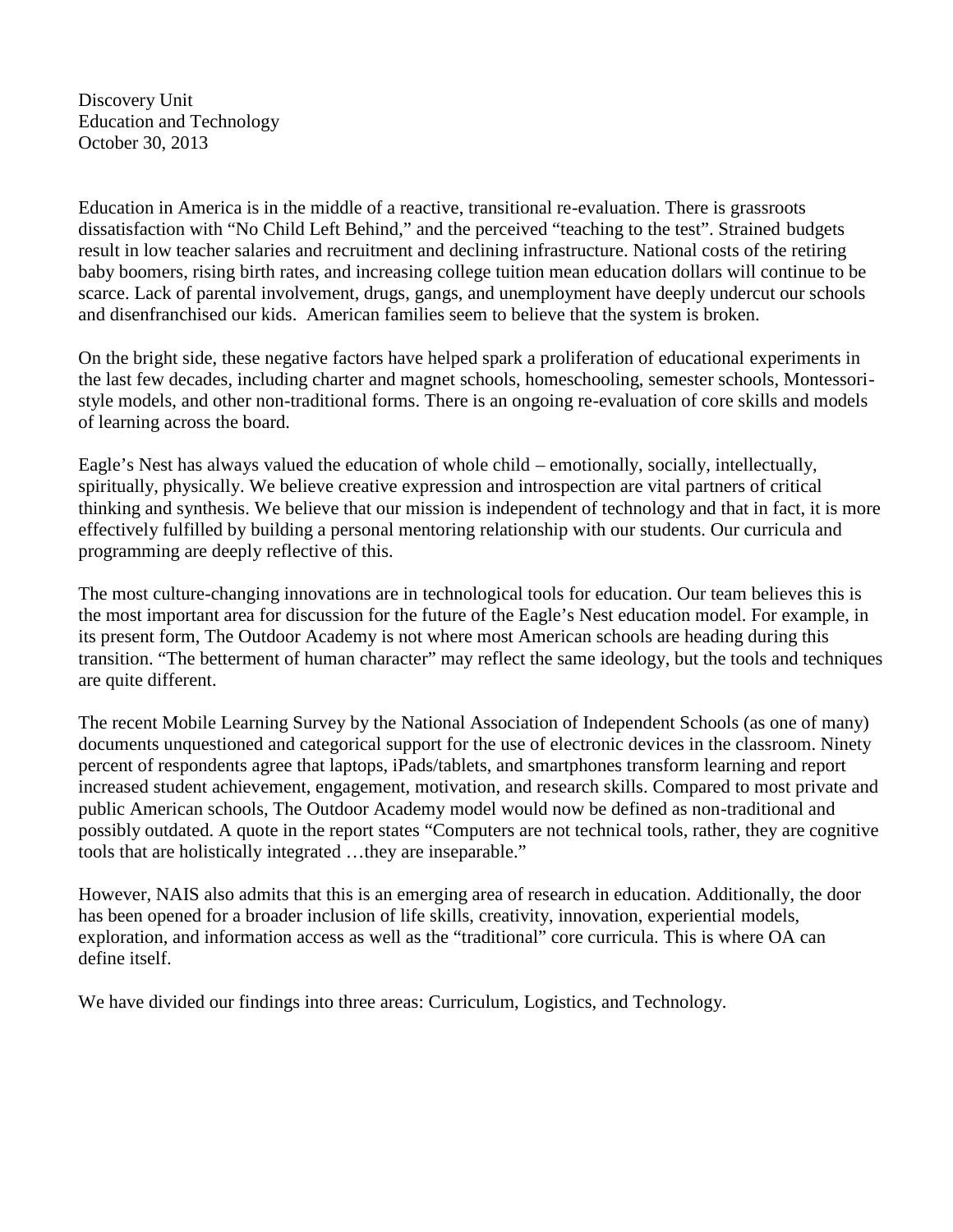Discovery Unit Education and Technology October 30, 2013

Education in America is in the middle of a reactive, transitional re-evaluation. There is grassroots dissatisfaction with "No Child Left Behind," and the perceived "teaching to the test". Strained budgets result in low teacher salaries and recruitment and declining infrastructure. National costs of the retiring baby boomers, rising birth rates, and increasing college tuition mean education dollars will continue to be scarce. Lack of parental involvement, drugs, gangs, and unemployment have deeply undercut our schools and disenfranchised our kids. American families seem to believe that the system is broken.

On the bright side, these negative factors have helped spark a proliferation of educational experiments in the last few decades, including charter and magnet schools, homeschooling, semester schools, Montessori style models, and other non-traditional forms. There is an ongoing re-evaluation of core skills and models of learning across the board.

Eagle's Nest has always valued the education of whole child – emotionally, socially, intellectually, spiritually, physically. We believe creative expression and introspection are vital partners of critical thinking and synthesis. We believe that our mission is independent of technology and that in fact, it is more effectively fulfilled by building a personal mentoring relationship with our students. Our curricula and programming are deeply reflective of this.

The most culture-changing innovations are in technological tools for education. Our team believes this is the most important area for discussion for the future of the Eagle's Nest education model. For example, in its present form, The Outdoor Academy is not where most American schools are heading during this transition. "The betterment of human character" may reflect the same ideology, but the tools and techniques are quite different.

The recent Mobile Learning Survey by the National Association of Independent Schools (as one of many) documents unquestioned and categorical support for the use of electronic devices in the classroom. Ninety percent of respondents agree that laptops, iPads/tablets, and smartphones transform learning and report increased student achievement, engagement, motivation, and research skills. Compared to most private and public American schools, The Outdoor Academy model would now be defined as non-traditional and possibly outdated. A quote in the report states "Computers are not technical tools, rather, they are cognitive tools that are holistically integrated …they are inseparable."

However, NAIS also admits that this is an emerging area of research in education. Additionally, the door has been opened for a broader inclusion of life skills, creativity, innovation, experiential models, exploration, and information access as well as the "traditional" core curricula. This is where OA can define itself.

We have divided our findings into three areas: Curriculum, Logistics, and Technology.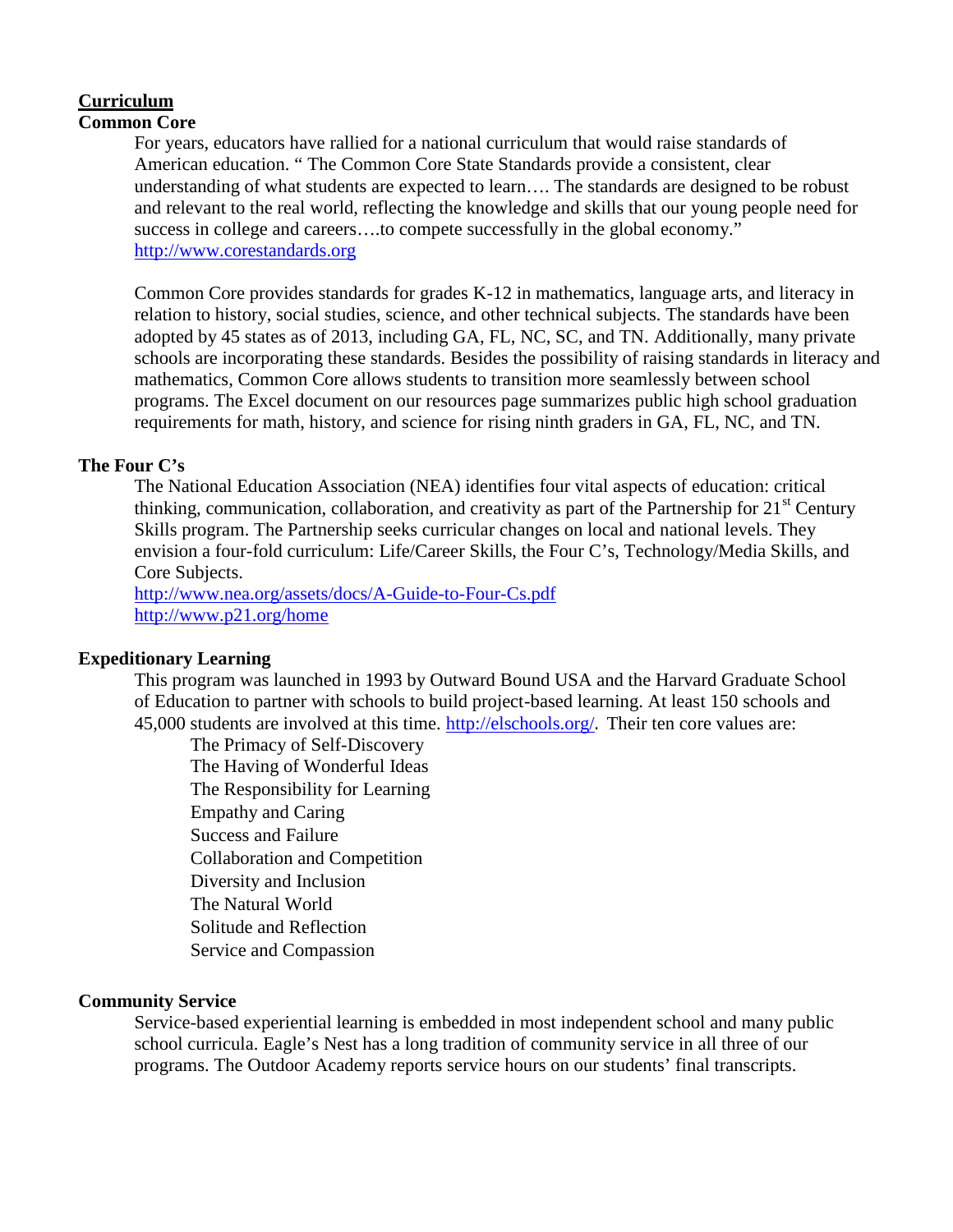#### **Curriculum Common Core**

For years, educators have rallied for a national curriculum that would raise standards of American education. " The Common Core State Standards provide a consistent, clear understanding of what students are expected to learn…. The standards are designed to be robust and relevant to the real world, reflecting the knowledge and skills that our young people need for success in college and careers….to compete successfully in the global economy." http://www.corestandards.org

Common Core provides standards for grades K-12 in mathematics, language arts, and literacy in relation to history, social studies, science, and other technical subjects. The standards have been adopted by 45 states as of 2013, including GA, FL, NC, SC, and TN. Additionally, many private schools are incorporating these standards. Besides the possibility of raising standards in literacy and mathematics, Common Core allows students to transition more seamlessly between school programs. The Excel document on our resources page summarizes public high school graduation requirements for math, history, and science for rising ninth graders in GA, FL, NC, and TN.

## **The Four C's**

The National Education Association (NEA) identifies four vital aspects of education: critical thinking, communication, collaboration, and creativity as part of the Partnership for  $21<sup>st</sup>$  Century Skills program. The Partnership seeks curricular changes on local and national levels. They envision a four-fold curriculum: Life/Career Skills, the Four C's, Technology/Media Skills, and Core Subjects.

http://www.nea.org/assets/docs/A-Guide-to-Four-Cs.pdf http://www.p21.org/home

### **Expeditionary Learning**

This program was launched in 1993 by Outward Bound USA and the Harvard Graduate School of Education to partner with schools to build project-based learning. At least 150 schools and 45,000 students are involved at this time. http://elschools.org/. Their ten core values are:

The Primacy of Self-Discovery The Having of Wonderful Ideas The Responsibility for Learning Empathy and Caring Success and Failure Collaboration and Competition Diversity and Inclusion The Natural World Solitude and Reflection Service and Compassion

### **Community Service**

Service-based experiential learning is embedded in most independent school and many public school curricula. Eagle's Nest has a long tradition of community service in all three of our programs. The Outdoor Academy reports service hours on our students' final transcripts.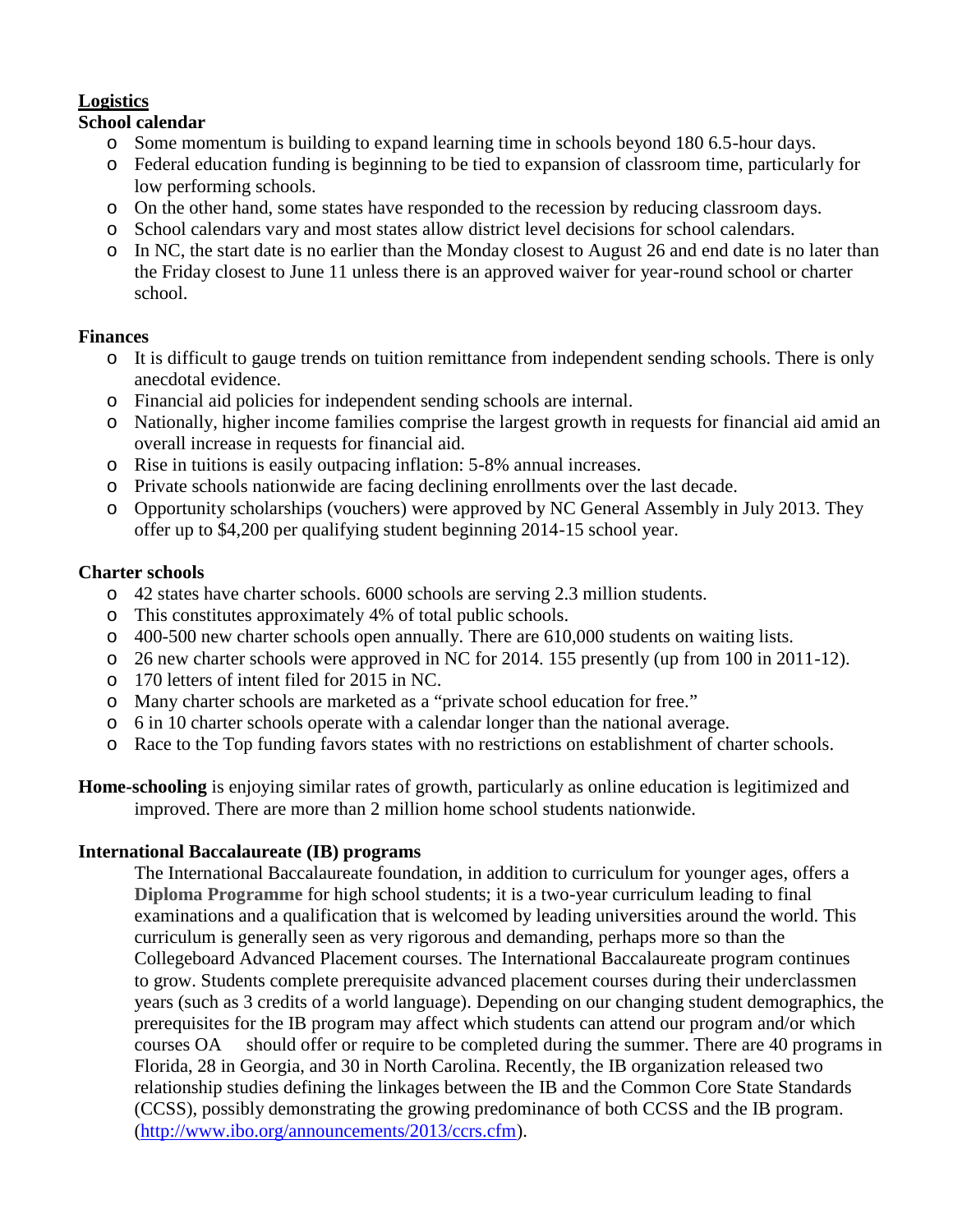# **Logistics**

# **School calendar**

- o Some momentum is building to expand learning time in schools beyond 180 6.5-hour days.
- o Federal education funding is beginning to be tied to expansion of classroom time, particularly for low performing schools.
- o On the other hand, some states have responded to the recession by reducing classroom days.
- o School calendars vary and most states allow district level decisions for school calendars.
- o In NC, the start date is no earlier than the Monday closest to August 26 and end date is no later than the Friday closest to June 11 unless there is an approved waiver for year-round school or charter school.

# **Finances**

- o It is difficult to gauge trends on tuition remittance from independent sending schools. There is only anecdotal evidence.
- o Financial aid policies for independent sending schools are internal.
- o Nationally, higher income families comprise the largest growth in requests for financial aid amid an overall increase in requests for financial aid.
- o Rise in tuitions is easily outpacing inflation: 5-8% annual increases.
- o Private schools nationwide are facing declining enrollments over the last decade.
- o Opportunity scholarships (vouchers) were approved by NC General Assembly in July 2013. They offer up to \$4,200 per qualifying student beginning 2014-15 school year.

# **Charter schools**

- o 42 states have charter schools. 6000 schools are serving 2.3 million students.
- o This constitutes approximately 4% of total public schools.
- o 400-500 new charter schools open annually. There are 610,000 students on waiting lists.
- o 26 new charter schools were approved in NC for 2014. 155 presently (up from 100 in 2011-12).
- o 170 letters of intent filed for 2015 in NC.
- o Many charter schools are marketed as a "private school education for free."
- o 6 in 10 charter schools operate with a calendar longer than the national average.
- o Race to the Top funding favors states with no restrictions on establishment of charter schools.
- **Home-schooling** is enjoying similar rates of growth, particularly as online education is legitimized and improved. There are more than 2 million home school students nationwide.

# **International Baccalaureate (IB) programs**

The International Baccalaureate foundation, in addition to curriculum for younger ages, offers a **Diploma Programme** for high school students; it is a two-year curriculum leading to final examinations and a qualification that is welcomed by leading universities around the world. This curriculum is generally seen as very rigorous and demanding, perhaps more so than the Collegeboard Advanced Placement courses. The International Baccalaureate program continues to grow. Students complete prerequisite advanced placement courses during their underclassmen years (such as 3 credits of a world language). Depending on our changing student demographics, the prerequisites for the IB program may affect which students can attend our program and/or which courses OA should offer or require to be completed during the summer. There are 40 programs in Florida, 28 in Georgia, and 30 in North Carolina. Recently, the IB organization released two relationship studies defining the linkages between the IB and the Common Core State Standards (CCSS), possibly demonstrating the growing predominance of both CCSS and the IB program. (http://www.ibo.org/announcements/2013/ccrs.cfm).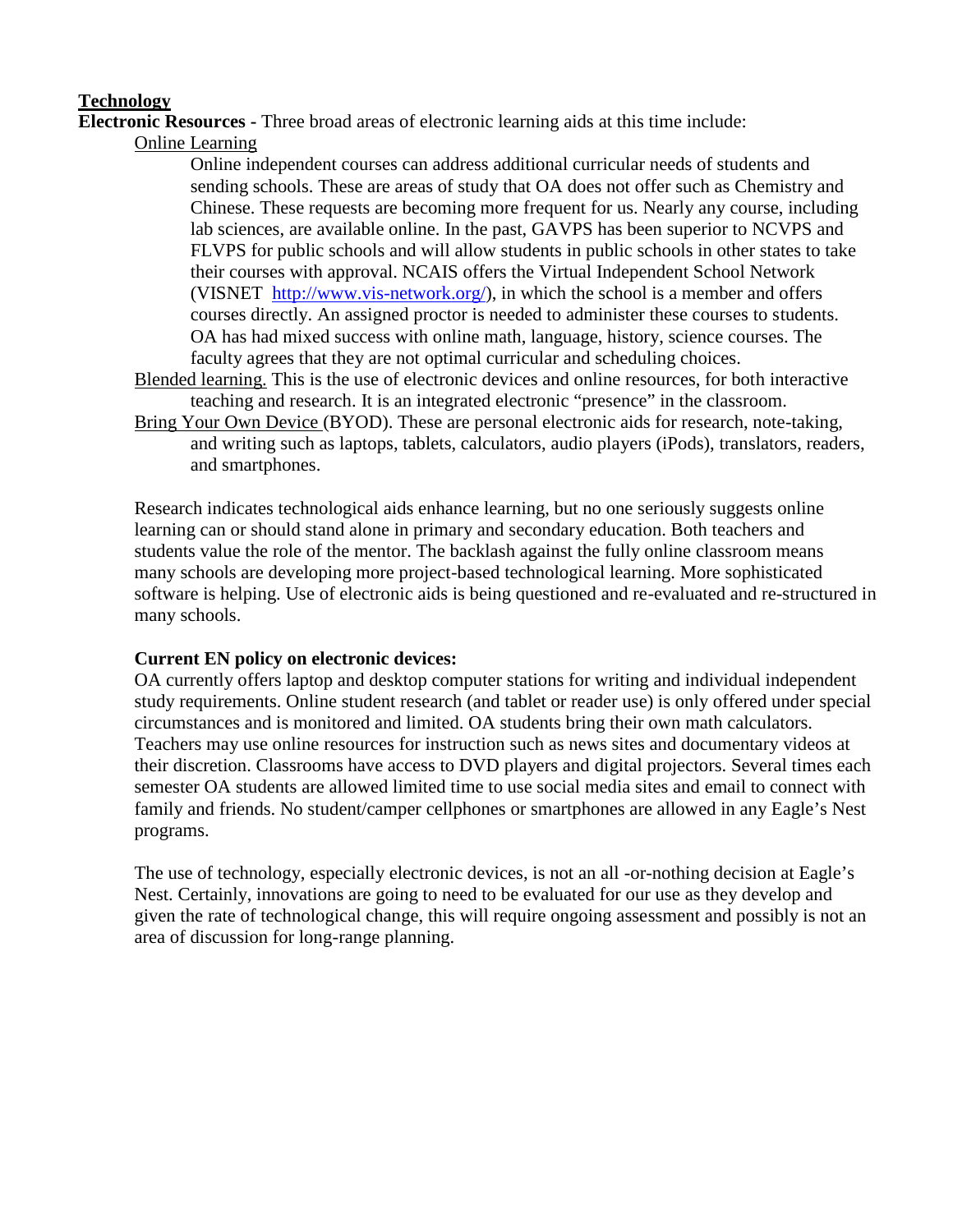# **Technology**

**Electronic Resources -** Three broad areas of electronic learning aids at this time include:

Online Learning

Online independent courses can address additional curricular needs of students and sending schools. These are areas of study that OA does not offer such as Chemistry and Chinese. These requests are becoming more frequent for us. Nearly any course, including lab sciences, are available online. In the past, GAVPS has been superior to NCVPS and FLVPS for public schools and will allow students in public schools in other states to take their courses with approval. NCAIS offers the Virtual Independent School Network (VISNET http://www.vis-network.org/), in which the school is a member and offers courses directly. An assigned proctor is needed to administer these courses to students. OA has had mixed success with online math, language, history, science courses. The faculty agrees that they are not optimal curricular and scheduling choices.

- Blended learning. This is the use of electronic devices and online resources, for both interactive teaching and research. It is an integrated electronic "presence" in the classroom.
- Bring Your Own Device (BYOD). These are personal electronic aids for research, note-taking, and writing such as laptops, tablets, calculators, audio players (iPods), translators, readers, and smartphones.

Research indicates technological aids enhance learning, but no one seriously suggests online learning can or should stand alone in primary and secondary education. Both teachers and students value the role of the mentor. The backlash against the fully online classroom means many schools are developing more project-based technological learning. More sophisticated software is helping. Use of electronic aids is being questioned and re-evaluated and re-structured in many schools.

# **Current EN policy on electronic devices:**

OA currently offers laptop and desktop computer stations for writing and individual independent study requirements. Online student research (and tablet or reader use) is only offered under special circumstances and is monitored and limited. OA students bring their own math calculators. Teachers may use online resources for instruction such as news sites and documentary videos at their discretion. Classrooms have access to DVD players and digital projectors. Several times each semester OA students are allowed limited time to use social media sites and email to connect with family and friends. No student/camper cellphones or smartphones are allowed in any Eagle's Nest programs.

The use of technology, especially electronic devices, is not an all -or-nothing decision at Eagle's Nest. Certainly, innovations are going to need to be evaluated for our use as they develop and given the rate of technological change, this will require ongoing assessment and possibly is not an area of discussion for long-range planning.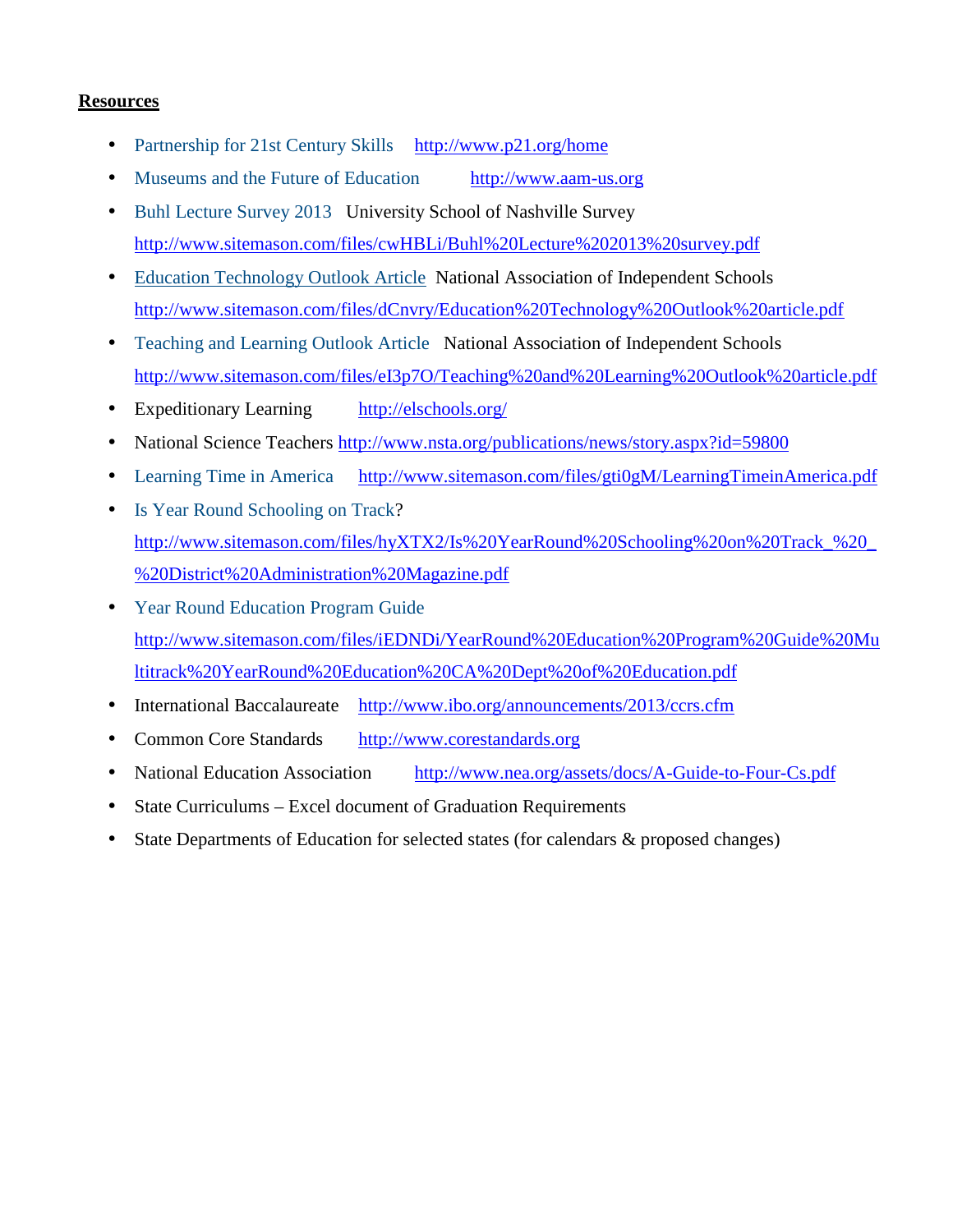# **Resources**

- Partnership for 21st Century Skills http://www.p21.org/home
- Museums and the Future of Education http://www.aam-us.org
- Buhl Lecture Survey 2013 University School of Nashville Survey http://www.sitemason.com/files/cwHBLi/Buhl%20Lecture%202013%20survey.pdf
- Education Technology Outlook Article National Association of Independent Schools http://www.sitemason.com/files/dCnvry/Education%20Technology%20Outlook%20article.pdf
- Teaching and Learning Outlook Article National Association of Independent Schools http://www.sitemason.com/files/eI3p7O/Teaching%20and%20Learning%20Outlook%20article.pdf
- Expeditionary Learning http://elschools.org/
- National Science Teachers http://www.nsta.org/publications/news/story.aspx?id=59800
- Learning Time in America http://www.sitemason.com/files/gti0gM/LearningTimeinAmerica.pdf
- Is Year Round Schooling on Track? http://www.sitemason.com/files/hyXTX2/Is%20YearRound%20Schooling%20on%20Track\_%20\_ %20District%20Administration%20Magazine.pdf
- Year Round Education Program Guide http://www.sitemason.com/files/iEDNDi/YearRound%20Education%20Program%20Guide%20Mu ltitrack%20YearRound%20Education%20CA%20Dept%20of%20Education.pdf
- International Baccalaureate http://www.ibo.org/announcements/2013/ccrs.cfm
- Common Core Standards http://www.corestandards.org
- National Education Association http://www.nea.org/assets/docs/A-Guide-to-Four-Cs.pdf
- State Curriculums Excel document of Graduation Requirements
- State Departments of Education for selected states (for calendars & proposed changes)